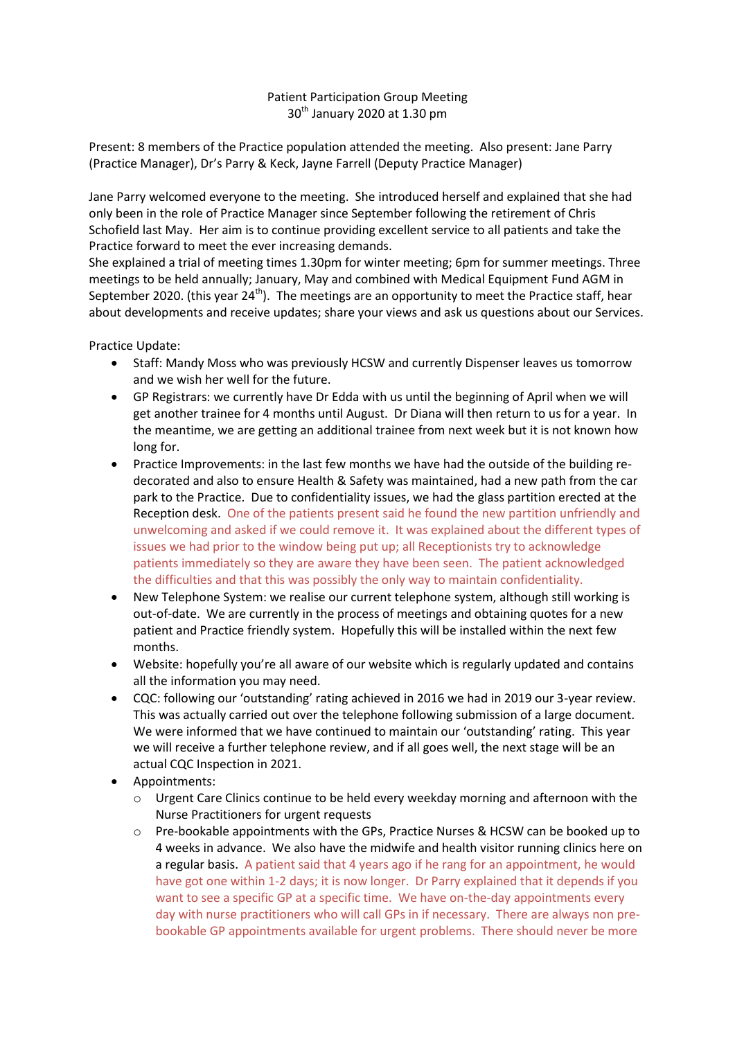## Patient Participation Group Meeting  $30<sup>th</sup>$  January 2020 at 1.30 pm

Present: 8 members of the Practice population attended the meeting. Also present: Jane Parry (Practice Manager), Dr's Parry & Keck, Jayne Farrell (Deputy Practice Manager)

Jane Parry welcomed everyone to the meeting. She introduced herself and explained that she had only been in the role of Practice Manager since September following the retirement of Chris Schofield last May. Her aim is to continue providing excellent service to all patients and take the Practice forward to meet the ever increasing demands.

She explained a trial of meeting times 1.30pm for winter meeting; 6pm for summer meetings. Three meetings to be held annually; January, May and combined with Medical Equipment Fund AGM in September 2020. (this year  $24<sup>th</sup>$ ). The meetings are an opportunity to meet the Practice staff, hear about developments and receive updates; share your views and ask us questions about our Services.

Practice Update:

- Staff: Mandy Moss who was previously HCSW and currently Dispenser leaves us tomorrow and we wish her well for the future.
- GP Registrars: we currently have Dr Edda with us until the beginning of April when we will get another trainee for 4 months until August. Dr Diana will then return to us for a year. In the meantime, we are getting an additional trainee from next week but it is not known how long for.
- Practice Improvements: in the last few months we have had the outside of the building redecorated and also to ensure Health & Safety was maintained, had a new path from the car park to the Practice. Due to confidentiality issues, we had the glass partition erected at the Reception desk. One of the patients present said he found the new partition unfriendly and unwelcoming and asked if we could remove it. It was explained about the different types of issues we had prior to the window being put up; all Receptionists try to acknowledge patients immediately so they are aware they have been seen. The patient acknowledged the difficulties and that this was possibly the only way to maintain confidentiality.
- New Telephone System: we realise our current telephone system, although still working is out-of-date. We are currently in the process of meetings and obtaining quotes for a new patient and Practice friendly system. Hopefully this will be installed within the next few months.
- Website: hopefully you're all aware of our website which is regularly updated and contains all the information you may need.
- CQC: following our 'outstanding' rating achieved in 2016 we had in 2019 our 3-year review. This was actually carried out over the telephone following submission of a large document. We were informed that we have continued to maintain our 'outstanding' rating. This year we will receive a further telephone review, and if all goes well, the next stage will be an actual CQC Inspection in 2021.
- Appointments:
	- o Urgent Care Clinics continue to be held every weekday morning and afternoon with the Nurse Practitioners for urgent requests
	- o Pre-bookable appointments with the GPs, Practice Nurses & HCSW can be booked up to 4 weeks in advance. We also have the midwife and health visitor running clinics here on a regular basis. A patient said that 4 years ago if he rang for an appointment, he would have got one within 1-2 days; it is now longer. Dr Parry explained that it depends if you want to see a specific GP at a specific time. We have on-the-day appointments every day with nurse practitioners who will call GPs in if necessary. There are always non prebookable GP appointments available for urgent problems. There should never be more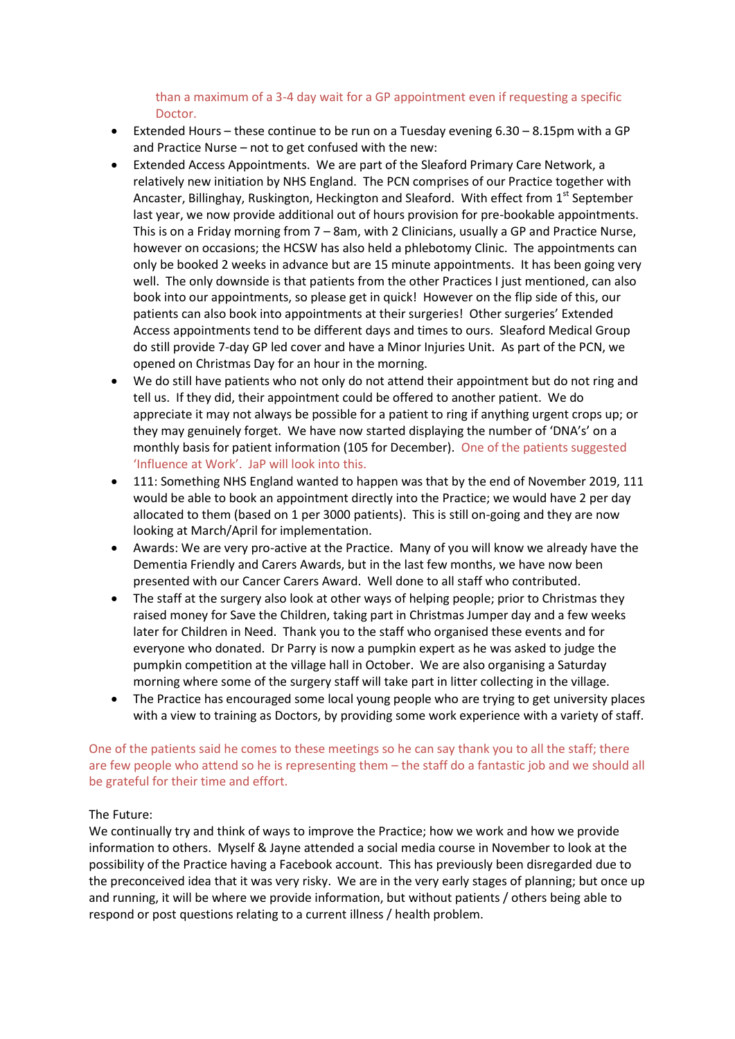## than a maximum of a 3-4 day wait for a GP appointment even if requesting a specific Doctor.

- Extended Hours these continue to be run on a Tuesday evening 6.30 8.15pm with a GP and Practice Nurse – not to get confused with the new:
- Extended Access Appointments. We are part of the Sleaford Primary Care Network, a relatively new initiation by NHS England. The PCN comprises of our Practice together with Ancaster, Billinghay, Ruskington, Heckington and Sleaford. With effect from 1<sup>st</sup> September last year, we now provide additional out of hours provision for pre-bookable appointments. This is on a Friday morning from 7 – 8am, with 2 Clinicians, usually a GP and Practice Nurse, however on occasions; the HCSW has also held a phlebotomy Clinic. The appointments can only be booked 2 weeks in advance but are 15 minute appointments. It has been going very well. The only downside is that patients from the other Practices I just mentioned, can also book into our appointments, so please get in quick! However on the flip side of this, our patients can also book into appointments at their surgeries! Other surgeries' Extended Access appointments tend to be different days and times to ours. Sleaford Medical Group do still provide 7-day GP led cover and have a Minor Injuries Unit. As part of the PCN, we opened on Christmas Day for an hour in the morning.
- We do still have patients who not only do not attend their appointment but do not ring and tell us. If they did, their appointment could be offered to another patient. We do appreciate it may not always be possible for a patient to ring if anything urgent crops up; or they may genuinely forget. We have now started displaying the number of 'DNA's' on a monthly basis for patient information (105 for December). One of the patients suggested 'Influence at Work'. JaP will look into this.
- 111: Something NHS England wanted to happen was that by the end of November 2019, 111 would be able to book an appointment directly into the Practice; we would have 2 per day allocated to them (based on 1 per 3000 patients). This is still on-going and they are now looking at March/April for implementation.
- Awards: We are very pro-active at the Practice. Many of you will know we already have the Dementia Friendly and Carers Awards, but in the last few months, we have now been presented with our Cancer Carers Award. Well done to all staff who contributed.
- The staff at the surgery also look at other ways of helping people; prior to Christmas they raised money for Save the Children, taking part in Christmas Jumper day and a few weeks later for Children in Need. Thank you to the staff who organised these events and for everyone who donated. Dr Parry is now a pumpkin expert as he was asked to judge the pumpkin competition at the village hall in October. We are also organising a Saturday morning where some of the surgery staff will take part in litter collecting in the village.
- The Practice has encouraged some local young people who are trying to get university places with a view to training as Doctors, by providing some work experience with a variety of staff.

## One of the patients said he comes to these meetings so he can say thank you to all the staff; there are few people who attend so he is representing them – the staff do a fantastic job and we should all be grateful for their time and effort.

## The Future:

We continually try and think of ways to improve the Practice; how we work and how we provide information to others. Myself & Jayne attended a social media course in November to look at the possibility of the Practice having a Facebook account. This has previously been disregarded due to the preconceived idea that it was very risky. We are in the very early stages of planning; but once up and running, it will be where we provide information, but without patients / others being able to respond or post questions relating to a current illness / health problem.